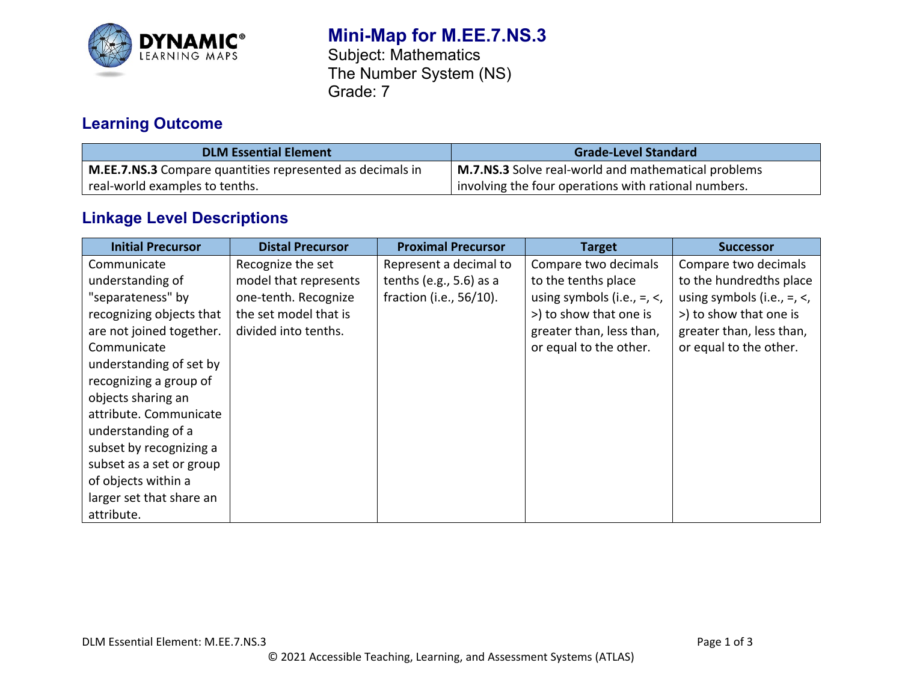

# **Mini-Map for M.EE.7.NS.3**

Subject: Mathematics The Number System (NS) Grade: 7

# **Learning Outcome**

| <b>DLM Essential Element</b>                                     | <b>Grade-Level Standard</b>                          |  |
|------------------------------------------------------------------|------------------------------------------------------|--|
| <b>M.EE.7.NS.3</b> Compare quantities represented as decimals in | M.7.NS.3 Solve real-world and mathematical problems  |  |
| real-world examples to tenths.                                   | involving the four operations with rational numbers. |  |

# **Linkage Level Descriptions**

| <b>Initial Precursor</b> | <b>Distal Precursor</b> | <b>Proximal Precursor</b>  | <b>Target</b>                      | <b>Successor</b>                   |
|--------------------------|-------------------------|----------------------------|------------------------------------|------------------------------------|
| Communicate              | Recognize the set       | Represent a decimal to     | Compare two decimals               | Compare two decimals               |
| understanding of         | model that represents   | tenths (e.g., $5.6$ ) as a | to the tenths place                | to the hundredths place            |
| "separateness" by        | one-tenth. Recognize    | fraction (i.e., 56/10).    | using symbols (i.e., $=$ , $\lt$ , | using symbols (i.e., $=$ , $\lt$ , |
| recognizing objects that | the set model that is   |                            | >) to show that one is             | >) to show that one is             |
| are not joined together. | divided into tenths.    |                            | greater than, less than,           | greater than, less than,           |
| Communicate              |                         |                            | or equal to the other.             | or equal to the other.             |
| understanding of set by  |                         |                            |                                    |                                    |
| recognizing a group of   |                         |                            |                                    |                                    |
| objects sharing an       |                         |                            |                                    |                                    |
| attribute. Communicate   |                         |                            |                                    |                                    |
| understanding of a       |                         |                            |                                    |                                    |
| subset by recognizing a  |                         |                            |                                    |                                    |
| subset as a set or group |                         |                            |                                    |                                    |
| of objects within a      |                         |                            |                                    |                                    |
| larger set that share an |                         |                            |                                    |                                    |
| attribute.               |                         |                            |                                    |                                    |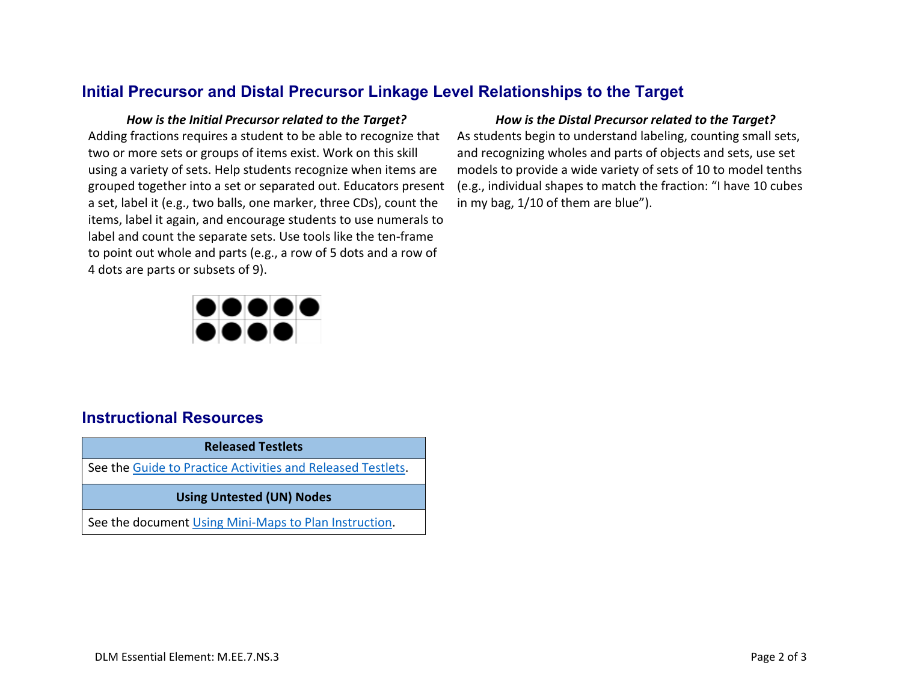## **Initial Precursor and Distal Precursor Linkage Level Relationships to the Target**

Adding fractions requires a student to be able to recognize that two or more sets or groups of items exist. Work on this skill using a variety of sets. Help students recognize when items are grouped together into a set or separated out. Educators present a set, label it (e.g., two balls, one marker, three CDs), count the items, label it again, and encourage students to use numerals to label and count the separate sets. Use tools like the ten-frame to point out whole and parts (e.g., a row of 5 dots and a row of 4 dots are parts or subsets of 9).

# ,,,,,, 1000

### *How is the Initial Precursor related to the Target? How is the Distal Precursor related to the Target?*

As students begin to understand labeling, counting small sets, and recognizing wholes and parts of objects and sets, use set models to provide a wide variety of sets of 10 to model tenths (e.g., individual shapes to match the fraction: "I have 10 cubes in my bag, 1/10 of them are blue").

**Released Testlets** See the [Guide to Practice Activities and Released Testlets.](https://dynamiclearningmaps.org/sites/default/files/documents/Manuals_Blueprints/Guide_to_Practice_Activities_and_Released_Testlets.pdf) **Using Untested (UN) Nodes** See the document [Using Mini-Maps to Plan Instruction.](https://dynamiclearningmaps.org/sites/default/files/documents/Using_Mini_Maps_to_Plan_Instruction.pdf)

# **Instructional Resources**